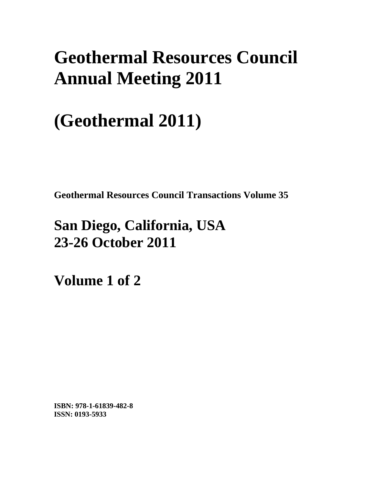# **Geothermal Resources Council Annual Meeting 2011**

# **(Geothermal 2011)**

**Geothermal Resources Council Transactions Volume 35** 

## **San Diego, California, USA 23-26 October 2011**

**Volume 1 of 2** 

**ISBN: 978-1-61839-482-8 ISSN: 0193-5933**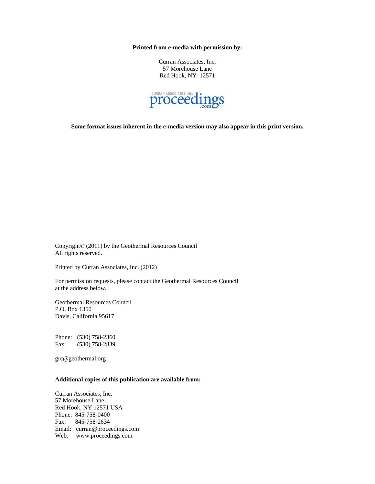**Printed from e-media with permission by:** 

Curran Associates, Inc. 57 Morehouse Lane Red Hook, NY 12571



**Some format issues inherent in the e-media version may also appear in this print version.** 

Copyright© (2011) by the Geothermal Resources Council All rights reserved.

Printed by Curran Associates, Inc. (2012)

For permission requests, please contact the Geothermal Resources Council at the address below.

Geothermal Resources Council P.O. Box 1350 Davis, California 95617

Phone: (530) 758-2360 Fax: (530) 758-2839

grc@geothermal.org

#### **Additional copies of this publication are available from:**

Curran Associates, Inc. 57 Morehouse Lane Red Hook, NY 12571 USA Phone: 845-758-0400 Fax: 845-758-2634 Email: curran@proceedings.com Web: www.proceedings.com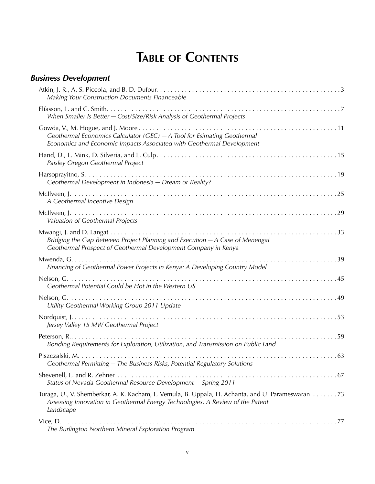## **Table of Contents**

| <b>Business Development</b>                                                                                                                                                                      |  |
|--------------------------------------------------------------------------------------------------------------------------------------------------------------------------------------------------|--|
| Making Your Construction Documents Financeable                                                                                                                                                   |  |
| When Smaller Is Better - Cost/Size/Risk Analysis of Geothermal Projects                                                                                                                          |  |
| Geothermal Economics Calculator (GEC) - A Tool for Esimating Geothermal<br>Economics and Economic Impacts Associated with Geothermal Development                                                 |  |
| Paisley Oregon Geothermal Project                                                                                                                                                                |  |
| Geothermal Development in Indonesia - Dream or Reality?                                                                                                                                          |  |
| A Geothermal Incentive Design                                                                                                                                                                    |  |
| Valuation of Geothermal Projects                                                                                                                                                                 |  |
| Bridging the Gap Between Project Planning and Execution - A Case of Menengai<br>Geothermal Prospect of Geothermal Development Company in Kenya                                                   |  |
| Financing of Geothermal Power Projects in Kenya: A Developing Country Model                                                                                                                      |  |
| Geothermal Potential Could be Hot in the Western US                                                                                                                                              |  |
| Utility Geothermal Working Group 2011 Update                                                                                                                                                     |  |
| Jersey Valley 15 MW Geothermal Project                                                                                                                                                           |  |
| Bonding Requirements for Exploration, Utilization, and Transmission on Public Land                                                                                                               |  |
| Geothermal Permitting - The Business Risks, Potential Regulatory Solutions                                                                                                                       |  |
| Status of Nevada Geothermal Resource Development - Spring 2011                                                                                                                                   |  |
| Turaga, U., V. Shemberkar, A. K. Kacham, L. Vemula, B. Uppala, H. Achanta, and U. Parameswaran 73<br>Assessing Innovation in Geothermal Energy Technologies: A Review of the Patent<br>Landscape |  |
| The Burlington Northern Mineral Exploration Program                                                                                                                                              |  |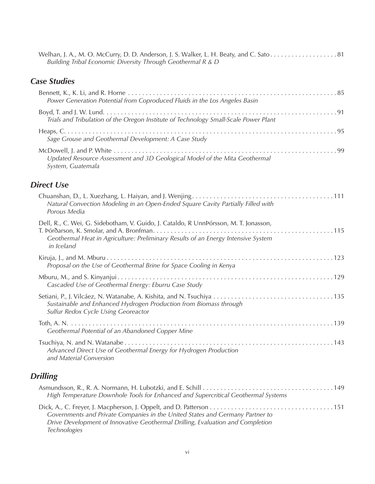| Welhan, J. A., M. O. McCurry, D. D. Anderson, J. S. Walker, L. H. Beaty, and C. Sato81 |  |
|----------------------------------------------------------------------------------------|--|
| Building Tribal Economic Diversity Through Geothermal R & D                            |  |

#### *Case Studies*

| Power Generation Potential from Coproduced Fluids in the Los Angeles Basin                                                                                                              |     |
|-----------------------------------------------------------------------------------------------------------------------------------------------------------------------------------------|-----|
| Trials and Tribulation of the Oregon Institute of Technology Small-Scale Power Plant                                                                                                    |     |
| Sage Grouse and Geothermal Development: A Case Study                                                                                                                                    |     |
| Updated Resource Assessment and 3D Geological Model of the Mita Geothermal<br>System, Guatemala                                                                                         |     |
| <b>Direct Use</b>                                                                                                                                                                       |     |
| Natural Convection Modeling in an Open-Ended Square Cavity Partially Filled with<br>Porous Media                                                                                        |     |
| Dell, R., C. Wei, G. Sidebotham, V. Guido, J. Cataldo, R UnnPórsson, M. T. Jonasson,<br>Geothermal Heat in Agriculture: Preliminary Results of an Energy Intensive System<br>in Iceland |     |
| Proposal on the Use of Geothermal Brine for Space Cooling in Kenya                                                                                                                      |     |
| Cascaded Use of Geothermal Energy: Eburru Case Study                                                                                                                                    |     |
| Sustainable and Enhanced Hydrogen Production from Biomass through<br>Sulfur Redox Cycle Using Georeactor                                                                                |     |
| Geothermal Potential of an Abandoned Copper Mine                                                                                                                                        |     |
| $T_{\text{cuchiva}}$ N and N Watanaba                                                                                                                                                   | 112 |

Tsuchiya, N. and N. Watanabe . 143 *Advanced Direct Use of Geothermal Energy for Hydrogen Production and Material Conversion*

#### *Drilling*

| High Temperature Downhole Tools for Enhanced and Supercritical Geothermal Systems                                                                                               |  |
|---------------------------------------------------------------------------------------------------------------------------------------------------------------------------------|--|
| Governments and Private Companies in the United States and Germany Partner to<br>Drive Development of Innovative Geothermal Drilling, Evaluation and Completion<br>Technologies |  |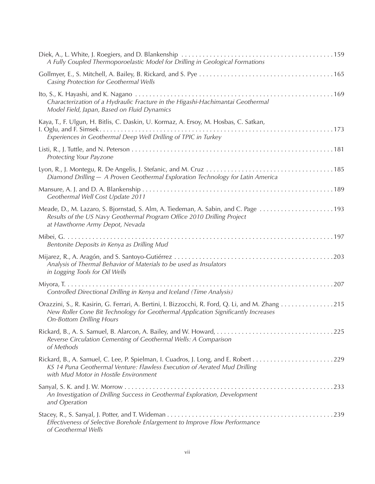| A Fully Coupled Thermoporoelastic Model for Drilling in Geological Formations                                                                                                                                            |
|--------------------------------------------------------------------------------------------------------------------------------------------------------------------------------------------------------------------------|
| Casing Protection for Geothermal Wells                                                                                                                                                                                   |
| Characterization of a Hydraulic Fracture in the Higashi-Hachimantai Geothermal<br>Model Field, Japan, Based on Fluid Dynamics                                                                                            |
| Kaya, T., F. Ulgun, H. Bitlis, C. Daskin, U. Kormaz, A. Ersoy, M. Hosbas, C. Satkan,<br>Experiences in Geothermal Deep Well Drilling of TPIC in Turkey                                                                   |
| Protecting Your Payzone                                                                                                                                                                                                  |
| Diamond Drilling - A Proven Geothermal Exploration Technology for Latin America                                                                                                                                          |
| Geothermal Well Cost Update 2011                                                                                                                                                                                         |
| Results of the US Navy Geothermal Program Office 2010 Drilling Project<br>at Hawthorne Army Depot, Nevada                                                                                                                |
| Bentonite Deposits in Kenya as Drilling Mud                                                                                                                                                                              |
| Analysis of Thermal Behavior of Materials to be used as Insulators<br>in Logging Tools for Oil Wells                                                                                                                     |
| Controlled Directional Drilling in Kenya and Iceland (Time Analysis)                                                                                                                                                     |
| Orazzini, S., R. Kasirin, G. Ferrari, A. Bertini, I. Bizzocchi, R. Ford, Q. Li, and M. Zhang 215<br>New Roller Cone Bit Technology for Geothermal Application Significantly Increases<br><b>On-Bottom Drilling Hours</b> |
| Reverse Circulation Cementing of Geothermal Wells: A Comparison<br>of Methods                                                                                                                                            |
| KS 14 Puna Geothermal Venture: Flawless Execution of Aerated Mud Drilling<br>with Mud Motor in Hostile Environment                                                                                                       |
| An Investigation of Drilling Success in Geothermal Exploration, Development<br>and Operation                                                                                                                             |
| Effectiveness of Selective Borehole Enlargement to Improve Flow Performance<br>of Geothermal Wells                                                                                                                       |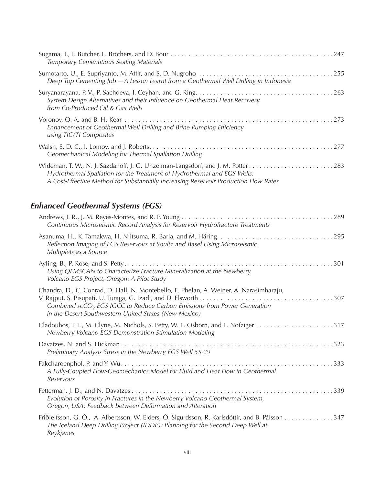| Temporary Cementitious Sealing Materials                                                                                                                         |  |
|------------------------------------------------------------------------------------------------------------------------------------------------------------------|--|
| Deep Top Cementing Job - A Lesson Learnt from a Geothermal Well Drilling in Indonesia                                                                            |  |
| System Design Alternatives and their Influence on Geothermal Heat Recovery<br>from Co-Produced Oil & Gas Wells                                                   |  |
| Enhancement of Geothermal Well Drilling and Brine Pumping Efficiency<br>using TIC/TI Composites                                                                  |  |
| Geomechanical Modeling for Thermal Spallation Drilling                                                                                                           |  |
| Hydrothermal Spallation for the Treatment of Hydrothermal and EGS Wells:<br>A Cost-Effective Method for Substantially Increasing Reservoir Production Flow Rates |  |

### *Enhanced Geothermal Systems (EGS)*

| Continuous Microseismic Record Analysis for Reservoir Hydrofracture Treatments                                                                                                                                                            |
|-------------------------------------------------------------------------------------------------------------------------------------------------------------------------------------------------------------------------------------------|
| Reflection Imaging of EGS Reservoirs at Soultz and Basel Using Microseismic<br>Multiplets as a Source                                                                                                                                     |
| Using QEMSCAN to Characterize Fracture Mineralization at the Newberry<br>Volcano EGS Project, Oregon: A Pilot Study                                                                                                                       |
| Chandra, D., C. Conrad, D. Hall, N. Montebello, E. Phelan, A. Weiner, A. Narasimharaju,<br>Combined scCO <sub>2</sub> -EGS IGCC to Reduce Carbon Emissions from Power Generation<br>in the Desert Southwestern United States (New Mexico) |
| Newberry Volcano EGS Demonstration Stimulation Modeling                                                                                                                                                                                   |
| Preliminary Analysis Stress in the Newberry EGS Well 55-29                                                                                                                                                                                |
| A Fully-Coupled Flow-Geomechanics Model for Fluid and Heat Flow in Geothermal<br>Reservoirs                                                                                                                                               |
| Evolution of Porosity in Fractures in the Newberry Volcano Geothermal System,<br>Oregon, USA: Feedback between Deformation and Alteration                                                                                                 |
| Friðleifsson, G. Ó., A. Albertsson, W. Elders, Ó. Sigurdsson, R. Karlsdóttir, and B. Pálsson 347<br>The Iceland Deep Drilling Project (IDDP): Planning for the Second Deep Well at<br>Reykjanes                                           |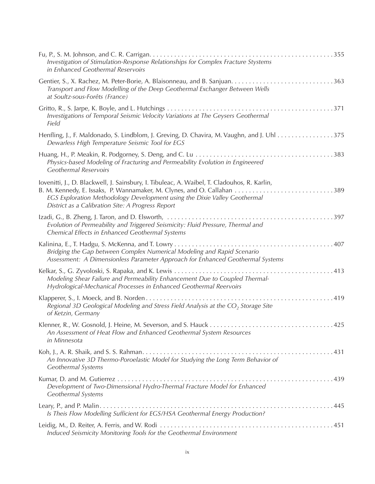| Investigation of Stimulation-Response Relationships for Complex Fracture Stystems<br>in Enhanced Geothermal Reservoirs                                                                                                        |
|-------------------------------------------------------------------------------------------------------------------------------------------------------------------------------------------------------------------------------|
| Transport and Flow Modelling of the Deep Geothermal Exchanger Between Wells<br>at Soultz-sous-Forêts (France)                                                                                                                 |
| Investigations of Temporal Seismic Velocity Variations at The Geysers Geothermal<br>Field                                                                                                                                     |
| Henfling, J., F. Maldonado, S. Lindblom, J. Greving, D. Chavira, M. Vaughn, and J. Uhl 375<br>Dewarless High Temperature Seismic Tool for EGS                                                                                 |
| Physics-based Modeling of Fracturing and Permeability Evolution in Engineered<br><b>Geothermal Reservoirs</b>                                                                                                                 |
| Iovenitti, J., D. Blackwell, J. Sainsbury, I. Tibuleac, A. Waibel, T. Cladouhos, R. Karlin,<br>EGS Exploration Methodology Development using the Dixie Valley Geothermal<br>District as a Calibration Site: A Progress Report |
| Evolution of Permeability and Triggered Seismicity: Fluid Pressure, Thermal and<br>Chemical Effects in Enhanced Geothermal Systems                                                                                            |
| Kalinina, E., T. Hadgu, S. McKenna, and T. Lowry<br>Bridging the Gap between Complex Numerical Modeling and Rapid Scenario<br>Assessment: A Dimensionless Parameter Approach for Enhanced Geothermal Systems                  |
| Modeling Shear Failure and Permeability Enhancement Due to Coupled Thermal-<br>Hydrological-Mechanical Processes in Enhanced Geothermal Reervoirs                                                                             |
| Regional 3D Geological Modeling and Stress Field Analysis at the CO <sub>2</sub> Storage Site<br>of Ketzin, Germany                                                                                                           |
| An Assessment of Heat Flow and Enhanced Geothermal System Resources<br>in Minnesota                                                                                                                                           |
| An Innovative 3D Thermo-Poroelastic Model for Studying the Long Term Behavior of<br>Geothermal Systems                                                                                                                        |
| Development of Two-Dimensional Hydro-Thermal Fracture Model for Enhanced<br>Geothermal Systems                                                                                                                                |
| Is Theis Flow Modelling Sufficient for EGS/HSA Geothermal Energy Production?                                                                                                                                                  |
| Induced Seismicity Monitoring Tools for the Geothermal Environment                                                                                                                                                            |
|                                                                                                                                                                                                                               |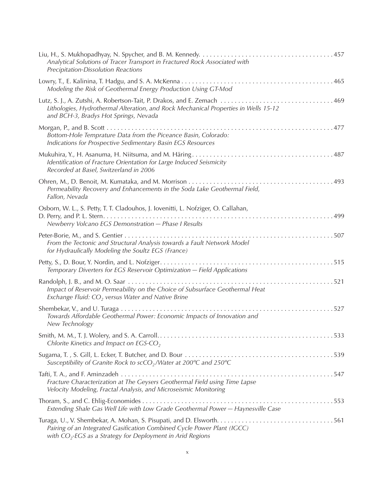| Analytical Solutions of Tracer Transport in Fractured Rock Associated with<br>Precipitation-Dissolution Reactions                              |
|------------------------------------------------------------------------------------------------------------------------------------------------|
| Modeling the Risk of Geothermal Energy Production Using GT-Mod                                                                                 |
| Lithologies, Hydrothermal Alteration, and Rock Mechanical Properties in Wells 15-12<br>and BCH-3, Bradys Hot Springs, Nevada                   |
| Bottom-Hole Temprature Data from the Piceance Basin, Colorado:<br>Indications for Prospective Sedimentary Basin EGS Resources                  |
| Identification of Fracture Orientation for Large Induced Seismicity<br>Recorded at Basel, Switzerland in 2006                                  |
| Permeability Recovery and Enhancements in the Soda Lake Geothermal Field,<br>Fallon, Nevada                                                    |
| Osborn, W. L., S. Petty, T. T. Cladouhos, J. Iovenitti, L. Nofziger, O. Callahan,<br>Newberry Volcano EGS Demonstration - Phase I Results      |
| From the Tectonic and Structural Analysis towards a Fault Network Model<br>for Hydraulically Modeling the Soultz EGS (France)                  |
| Temporary Diverters for EGS Reservoir Optimization - Field Applications                                                                        |
| Impact of Reservoir Permeability on the Choice of Subsurface Geothermal Heat<br>Exchange Fluid: $CO2$ versus Water and Native Brine            |
| Towards Affordable Geothermal Power: Economic Impacts of Innovation and<br>New Technology                                                      |
| Chlorite Kinetics and Impact on EGS-CO <sub>2</sub>                                                                                            |
| Susceptibility of Granite Rock to scCO <sub>2</sub> /Water at 200°C and 250°C                                                                  |
| Fracture Characterization at The Geysers Geothermal Field using Time Lapse<br>Velocity Modeling, Fractal Analysis, and Microseismic Monitoring |
| Extending Shale Gas Well Life with Low Grade Geothermal Power - Haynesville Case                                                               |
| Pairing of an Integrated Gasification Combined Cycle Power Plant (IGCC)<br>with $CO2$ -EGS as a Strategy for Deployment in Arid Regions        |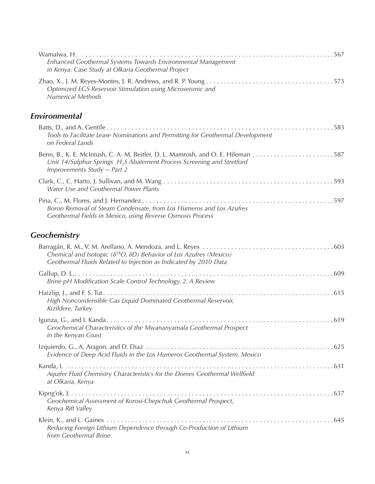| Enhanced Geothermal Systems Towards Environmental Management<br>in Kenya: Case Study at Olkaria Geothermal Project                                         |  |
|------------------------------------------------------------------------------------------------------------------------------------------------------------|--|
| Optimized EGS Reservoir Stimulation using Microseismic and<br><b>Numerical Methods</b>                                                                     |  |
| Environmental                                                                                                                                              |  |
| Tools to Facilitate Lease Nominations and Permitting for Geothermal Development<br>on Federal Lands                                                        |  |
| Unit 14/Sulphur Springs $H_2S$ Abatement Process Screening and Stretford<br>Improvements Study - Part 2                                                    |  |
| Water Use and Geothermal Power Plants                                                                                                                      |  |
| Boron Removal of Steam Condensate, from Los Humeros and Los Azufres<br>Geothermal Fields in Mexico, using Reverse Osmosis Process                          |  |
| <b>Geochemistry</b>                                                                                                                                        |  |
| Chemical and Isotopic ( $\delta^{18}O$ , $\delta D$ ) Behavior of Los Azufres (Mexico)<br>Geothermal Fluids Related to Injection as Indicated by 2010 Data |  |
| Brine pH Modification Scale Control Technology. 2. A Review                                                                                                |  |
| High Noncondensible Gas Liquid Dominated Geothermal Reservoir,<br>Kizildere, Turkey                                                                        |  |
| in the Kenyan Coast                                                                                                                                        |  |
| Evidence of Deep Acid Fluids in the Los Humeros Geothermal System, Mexico                                                                                  |  |
| Aquifer Fluid Chemistry Characteristics for the Domes Geothermal Wellfield<br>at Olkaria, Kenya                                                            |  |
| Geochemical Assessment of Korosi-Chepchuk Geothermal Prospect,<br>Kenya Rift Valley                                                                        |  |
| Reducing Foreign Lithium Dependence through Co-Production of Lithium<br>from Geothermal Brine                                                              |  |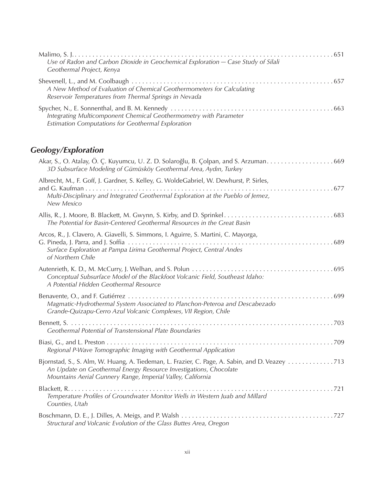| Use of Radon and Carbon Dioxide in Geochemical Exploration - Case Study of Silali<br>Geothermal Project, Kenya                  |  |
|---------------------------------------------------------------------------------------------------------------------------------|--|
| A New Method of Evaluation of Chemical Geothermometers for Calculating<br>Reservoir Temperatures from Thermal Springs in Nevada |  |
| Integrating Multicomponent Chemical Geothermometry with Parameter<br>Estimation Computations for Geothermal Exploration         |  |

### *Geology/Exploration*

| Akar, S., O. Atalay, Ö. Ç. Kuyumcu, U. Z. D. Solaroğlu, B. Çolpan, and S. Arzuman. 669<br>3D Subsurface Modeling of Gümüsköy Geothermal Area, Aydın, Turkey                                                                        |
|------------------------------------------------------------------------------------------------------------------------------------------------------------------------------------------------------------------------------------|
| Albrecht, M., F. Goff, J. Gardner, S. Kelley, G. WoldeGabriel, W. Dewhurst, P. Sirles,<br>Multi-Disciplinary and Integrated Geothermal Exploration at the Pueblo of Jemez,<br><b>New Mexico</b>                                    |
| The Potential for Basin-Centered Geothermal Resources in the Great Basin                                                                                                                                                           |
| Arcos, R., J. Clavero, A. Giavelli, S. Simmons, I. Aguirre, S. Martini, C. Mayorga,<br>Surface Exploration at Pampa Lirima Geothermal Project, Central Andes<br>of Northern Chile                                                  |
| Conceptual Subsurface Model of the Blackfoot Volcanic Field, Southeast Idaho:<br>A Potential Hidden Geothermal Resource                                                                                                            |
| Magmatic-Hydrothermal System Associated to Planchon-Peteroa and Descabezado<br>Grande-Quizapu-Cerro Azul Volcanic Complexes, VII Region, Chile                                                                                     |
| Geothermal Potential of Transtensional Plate Boundaries                                                                                                                                                                            |
| Regional P-Wave Tomographic Imaging with Geothermal Application                                                                                                                                                                    |
| Bjornstad, S., S. Alm, W. Huang, A. Tiedeman, L. Frazier, C. Page, A. Sabin, and D. Veazey 713<br>An Update on Geothermal Energy Resource Investigations, Chocolate<br>Mountains Aerial Gunnery Range, Imperial Valley, California |
| Temperature Profiles of Groundwater Monitor Wells in Western Juab and Millard<br>Counties, Utah                                                                                                                                    |
| Structural and Volcanic Evolution of the Glass Buttes Area, Oregon                                                                                                                                                                 |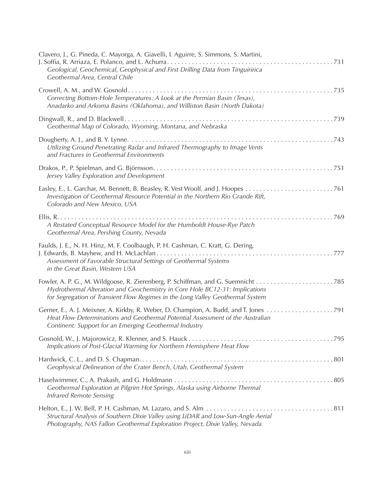| Clavero, J., G. Pineda, C. Mayorga, A. Giavelli, I. Aguirre, S. Simmons, S. Martini,<br>Geological, Geochemical, Geophysical and First Drilling Data from Tinguiririca<br>Geothermal Area, Central Chile                           |
|------------------------------------------------------------------------------------------------------------------------------------------------------------------------------------------------------------------------------------|
| Correcting Bottom-Hole Temperatures: A Look at the Permian Basin (Texas),<br>Anadarko and Arkoma Basins (Oklahoma), and Williston Basin (North Dakota)                                                                             |
| Geothermal Map of Colorado, Wyoming, Montana, and Nebraska                                                                                                                                                                         |
| Utilizing Ground Penetrating Radar and Infrared Thermography to Image Vents<br>and Fractures in Geothermal Environments                                                                                                            |
| Jersey Valley Exploration and Development                                                                                                                                                                                          |
| Investigation of Geothermal Resource Potential in the Northern Rio Grande Rift,<br>Colorado and New Mexico, USA                                                                                                                    |
| A Restated Conceptual Resource Model for the Humboldt House-Rye Patch<br>Geothermal Area, Pershing County, Nevada                                                                                                                  |
| Faulds, J. E., N. H. Hinz, M. F. Coolbaugh, P. H. Cashman, C. Kratt, G. Dering,<br>Assessment of Favorable Structural Settings of Geothermal Systems<br>in the Great Basin, Western USA                                            |
| Hydrothermal Alteration and Geochemistry in Core Hole BC12-31: Implications<br>for Segregation of Transient Flow Regimes in the Long Valley Geothermal System                                                                      |
| Gerner, E., A. J. Meixner, A. Kirkby, R. Weber, D. Champion, A. Budd, and T. Jones 791<br>Heat Flow Determinations and Geothermal Potential Assessment of the Australian<br>Continent: Support for an Emerging Geothermal Industry |
| Implications of Post-Glacial Warming for Northern Hemisphere Heat Flow                                                                                                                                                             |
| Geophysical Delineation of the Crater Bench, Utah, Geothermal System                                                                                                                                                               |
| Geothermal Exploration at Pilgrim Hot Springs, Alaska using Airborne Thermal<br><b>Infrared Remote Sensing</b>                                                                                                                     |
| Structural Analysis of Southern Dixie Valley using LiDAR and Low-Sun-Angle Aerial<br>Photography, NAS Fallon Geothermal Exploration Project, Dixie Valley, Nevada                                                                  |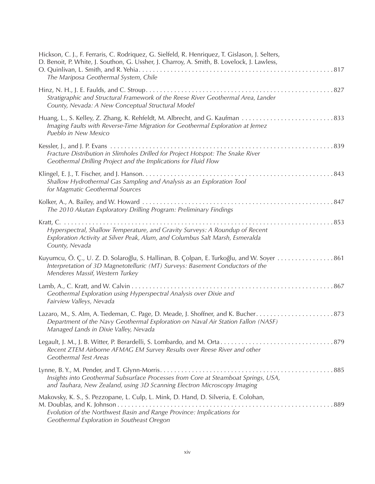| Hickson, C. J., F. Ferraris, C. Rodriquez, G. Sielfeld, R. Henriquez, T. Gislason, J. Selters,<br>D. Benoit, P. White, J. Southon, G. Ussher, J. Charroy, A. Smith, B. Lovelock, J. Lawless,<br>The Mariposa Geothermal System, Chile |
|---------------------------------------------------------------------------------------------------------------------------------------------------------------------------------------------------------------------------------------|
| Stratigraphic and Structural Framework of the Reese River Geothermal Area, Lander<br>County, Nevada: A New Conceptual Structural Model                                                                                                |
| Imaging Faults with Reverse-Time Migration for Geothermal Exploration at Jemez<br>Pueblo in New Mexico                                                                                                                                |
| Fracture Distribution in Slimholes Drilled for Project Hotspot: The Snake River<br>Geothermal Drilling Project and the Implications for Fluid Flow                                                                                    |
| Shallow Hydrothermal Gas Sampling and Analysis as an Exploration Tool<br>for Magmatic Geothermal Sources                                                                                                                              |
| The 2010 Akutan Exploratory Drilling Program: Preliminary Findings                                                                                                                                                                    |
| Hyperspectral, Shallow Temperature, and Gravity Surveys: A Roundup of Recent<br>Exploration Activity at Silver Peak, Alum, and Columbus Salt Marsh, Esmeralda<br>County, Nevada                                                       |
| Kuyumcu, Ö. Ç., U. Z. D. Solaroğlu, S. Hallinan, B. Çolpan, E. Turkoğlu, and W. Soyer 861<br>Interpretation of 3D Magnetotelluric (MT) Surveys: Basement Conductors of the<br>Menderes Massif, Western Turkey                         |
| Geothermal Exploration using Hyperspectral Analysis over Dixie and<br>Fairview Valleys, Nevada                                                                                                                                        |
| Department of the Navy Geothermal Exploration on Naval Air Station Fallon (NASF)<br>Managed Lands in Dixie Valley, Nevada                                                                                                             |
| Recent ZTEM Airborne AFMAG EM Survey Results over Reese River and other<br><b>Geothermal Test Areas</b>                                                                                                                               |
| Insights into Geothermal Subsurface Processes from Core at Steamboat Springs, USA,<br>and Tauhara, New Zealand, using 3D Scanning Electron Microscopy Imaging                                                                         |
| Makovsky, K. S., S. Pezzopane, L. Culp, L. Mink, D. Hand, D. Silveria, E. Colohan,<br>Evolution of the Northwest Basin and Range Province: Implications for<br>Geothermal Exploration in Southeast Oregon                             |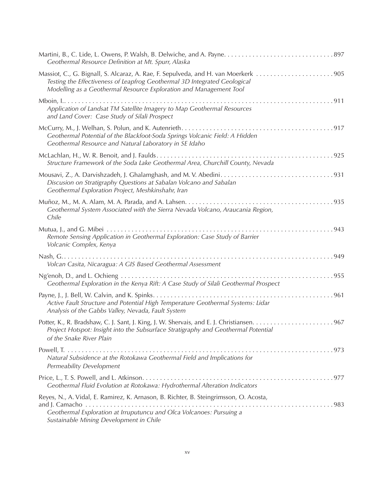| Geothermal Resource Definition at Mt. Spurr, Alaska                                                                                                                                                                                   |
|---------------------------------------------------------------------------------------------------------------------------------------------------------------------------------------------------------------------------------------|
| Massiot, C., G. Bignall, S. Alcaraz, A. Rae, F. Sepulveda, and H. van Moerkerk 905<br>Testing the Effectiveness of Leapfrog Geothermal 3D Integrated Geological<br>Modelling as a Geothermal Resource Exploration and Management Tool |
| Application of Landsat TM Satellite Imagery to Map Geothermal Resources<br>and Land Cover: Case Study of Silali Prospect                                                                                                              |
| Geothermal Potential of the Blackfoot-Soda Springs Volcanic Field: A Hidden<br>Geothermal Resource and Natural Laboratory in SE Idaho                                                                                                 |
| Structure Framework of the Soda Lake Geothermal Area, Churchill County, Nevada                                                                                                                                                        |
| Discusion on Stratigraphy Questions at Sabalan Volcano and Sabalan<br>Geothermal Exploration Project, Meshkinshahr, Iran                                                                                                              |
| Geothermal System Associated with the Sierra Nevada Volcano, Araucania Region,<br>Chile                                                                                                                                               |
| Mutua, J., and G. Mibei $\dots \dots$<br>Remote Sensing Application in Geothermal Exploration: Case Study of Barrier<br>Volcanic Complex, Kenya                                                                                       |
| Volcan Casita, Nicaragua: A GIS Based Geothermal Assessment                                                                                                                                                                           |
| Geothermal Exploration in the Kenya Rift: A Case Study of Silali Geothermal Prospect                                                                                                                                                  |
| Active Fault Structure and Potential High Temperature Geothermal Systems: Lidar<br>Analysis of the Gabbs Valley, Nevada, Fault System                                                                                                 |
| Project Hotspot: Insight into the Subsurface Stratigraphy and Geothermal Potential<br>of the Snake River Plain                                                                                                                        |
| Natural Subsidence at the Rotokawa Geothermal Field and Implications for<br>Permeability Development                                                                                                                                  |
| Geothermal Fluid Evolution at Rotokawa: Hydrothermal Alteration Indicators                                                                                                                                                            |
| Reyes, N., A. Vidal, E. Ramirez, K. Arnason, B. Richter, B. Steingrimsson, O. Acosta,<br>Geothermal Exploration at Irruputuncu and Olca Volcanoes: Pursuing a<br>Sustainable Mining Development in Chile                              |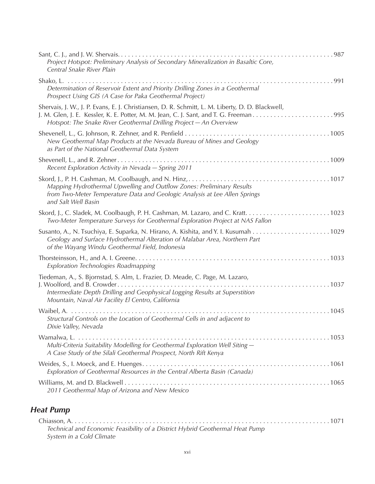| Project Hotspot: Preliminary Analysis of Secondary Mineralization in Basaltic Core,<br>Central Snake River Plain                                                                                                   |
|--------------------------------------------------------------------------------------------------------------------------------------------------------------------------------------------------------------------|
| Determination of Reservoir Extent and Priority Drilling Zones in a Geothermal<br>Prospect Using GIS (A Case for Paka Geothermal Project)                                                                           |
| Shervais, J. W., J. P. Evans, E. J. Christiansen, D. R. Schmitt, L. M. Liberty, D. D. Blackwell,<br>Hotspot: The Snake River Geothermal Drilling Project - An Overview                                             |
| New Geothermal Map Products at the Nevada Bureau of Mines and Geology<br>as Part of the National Geothermal Data System                                                                                            |
| Recent Exploration Activity in Nevada - Spring 2011                                                                                                                                                                |
| Mapping Hydrothermal Upwelling and Outflow Zones: Preliminary Results<br>from Two-Meter Temperature Data and Geologic Analysis at Lee Allen Springs<br>and Salt Well Basin                                         |
| Two-Meter Temperature Surveys for Geothermal Exploration Project at NAS Fallon                                                                                                                                     |
| Geology and Surface Hydrothermal Alteration of Malabar Area, Northern Part<br>of the Wayang Windu Geothermal Field, Indonesia                                                                                      |
| Exploration Technologies Roadmapping                                                                                                                                                                               |
| Tiedeman, A., S. Bjornstad, S. Alm, L. Frazier, D. Meade, C. Page, M. Lazaro,<br>Intermediate Depth Drilling and Geophysical Logging Results at Superstition<br>Mountain, Naval Air Facility El Centro, California |
| Structural Controls on the Location of Geothermal Cells in and adjacent to<br>Dixie Valley, Nevada                                                                                                                 |
| Multi-Criteria Suitability Modelling for Geothermal Exploration Well Siting -<br>A Case Study of the Silali Geothermal Prospect, North Rift Kenya                                                                  |
| Exploration of Geothermal Resources in the Central Alberta Basin (Canada)                                                                                                                                          |
| 2011 Geothermal Map of Arizona and New Mexico                                                                                                                                                                      |

#### *Heat Pump*

| Technical and Economic Feasibility of a District Hybrid Geothermal Heat Pump |  |
|------------------------------------------------------------------------------|--|
| System in a Cold Climate                                                     |  |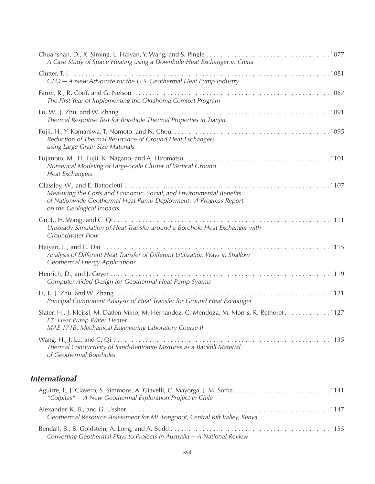| A Case Study of Space Heating using a Downhole Heat Exchanger in China                                                                                                              |
|-------------------------------------------------------------------------------------------------------------------------------------------------------------------------------------|
| $GEO - A$ New Advocate for the U.S. Geothermal Heat Pump Industry                                                                                                                   |
| The First Year of Implementing the Oklahoma Comfort Program                                                                                                                         |
| Thermal Response Test for Borehole Thermal Properties in Tianjin                                                                                                                    |
| Reduction of Thermal Resistance of Ground Heat Exchangers<br>using Large Grain Size Materials                                                                                       |
| Numerical Modeling of Large-Scale Cluster of Vertical Ground<br><b>Heat Exchangers</b>                                                                                              |
| Measuring the Costs and Economic, Social, and Environmental Benefits<br>of Nationwide Geothermal Heat Pump Deployment: A Progress Report<br>on the Geological Impacts               |
| Unsteady Simulation of Heat Transfer around a Borehole Heat Exchanger with<br><b>Groundwater Flow</b>                                                                               |
| Analysis of Different Heat Transfer of Different Utilization Ways in Shallow<br><b>Geothermal Energy Applications</b>                                                               |
| Computer-Aided Design for Geothermal Heat Pump Sytems                                                                                                                               |
| Principal Component Analysis of Heat Transfer for Ground Heat Exchanger                                                                                                             |
| Slater, H., J. Kleissl, M. Datlen-Mino, M. Hernandez, C. Mendoza, M. Morris, R. Rethoret1127<br>E7: Heat Pump Water Heater<br>MAE 171B: Mechanical Engineering Laboratory Course II |
| Thermal Conductivity of Sand-Bentonite Mixtures as a Backfill Material<br>of Geothermal Boreholes                                                                                   |

#### *International*

| "Colpitas" - A New Geothermal Exploration Project in Chile                  |  |
|-----------------------------------------------------------------------------|--|
| Geothermal Resource Assessment for Mt. Longonot, Central Rift Valley, Kenya |  |
| Converting Geothermal Plays to Projects in Australia - A National Review    |  |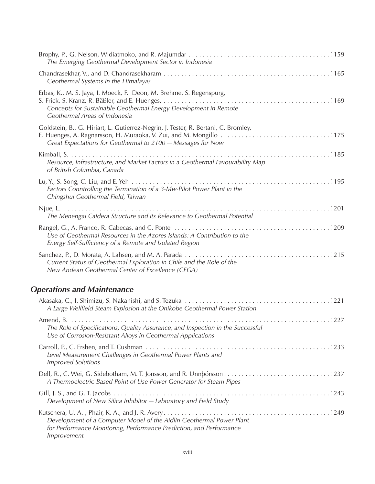| The Emerging Geothermal Development Sector in Indonesia                                                                                                                  |
|--------------------------------------------------------------------------------------------------------------------------------------------------------------------------|
| Geothermal Systems in the Himalayas                                                                                                                                      |
| Erbas, K., M. S. Jaya, I. Moeck, F. Deon, M. Brehme, S. Regenspurg,<br>Concepts for Sustainable Geothermal Energy Development in Remote<br>Geothermal Areas of Indonesia |
| Goldstein, B., G. Hiriart, L. Gutierrez-Negrin, J. Tester, R. Bertani, C. Bromley,<br>Great Expectations for Geothermal to 2100 - Messages for Now                       |
| Resource, Infrastructure, and Market Factors in a Geothermal Favourability Map<br>of British Columbia, Canada                                                            |
| Factors Conntrolling the Termination of a 3-Mw-Pilot Power Plant in the<br>Chingshui Geothermal Field, Taiwan                                                            |
| The Menengai Caldera Structure and its Relevance to Geothermal Potential                                                                                                 |
| Use of Geothermal Resources in the Azores Islands: A Contribution to the<br>Energy Self-Sufficiency of a Remote and Isolated Region                                      |
| Current Status of Geothermal Exploration in Chile and the Role of the<br>New Andean Geothermal Center of Excellence (CEGA)                                               |
| <b>Operations and Maintenance</b>                                                                                                                                        |
| A Large Wellfield Steam Explosion at the Onikobe Geothermal Power Station                                                                                                |
| The Role of Specifications, Quality Assurance, and Inspection in the Successful<br>Use of Corrosion-Resistant Alloys in Geothermal Applications                          |
| Level Measurement Challenges in Geothermal Power Plants and<br><b>Improved Solutions</b>                                                                                 |
| A Thermoelectric-Based Point of Use Power Generator for Steam Pipes                                                                                                      |
| Development of New Silica Inhibitor - Laboratory and Field Study                                                                                                         |
| Development of a Computer Model of the Aidlin Geothermal Power Plant<br>for Performance Monitoring, Performance Prediction, and Performance<br>Improvement               |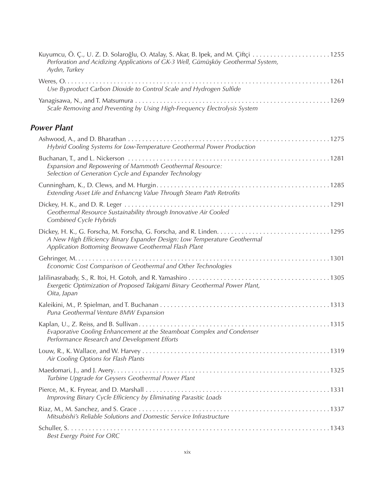| Perforation and Acidizing Applications of GK-3 Well, Gümüşköy Geothermal System,<br>Aydın, Turkey                                |  |
|----------------------------------------------------------------------------------------------------------------------------------|--|
| Use Byproduct Carbon Dioxide to Control Scale and Hydrogen Sulfide                                                               |  |
| Scale Removing and Preventing by Using High-Frequency Electrolysis System                                                        |  |
| <b>Power Plant</b>                                                                                                               |  |
| Hybrid Cooling Systems for Low-Temperature Geothermal Power Production                                                           |  |
| Expansion and Repowering of Mammoth Geothermal Resource:<br>Selection of Generation Cycle and Expander Technology                |  |
| Extending Asset Life and Enhancng Value Through Steam Path Retrofits                                                             |  |
| Geothermal Resource Sustainability through Innovative Air Cooled<br>Combined Cycle Hybrids                                       |  |
| A New High Efficiency Binary Expander Design: Low Temperature Geothermal<br>Application Bottoming Beowawe Geothermal Flash Plant |  |
| Economic Cost Comparison of Geothermal and Other Technologies                                                                    |  |
| Exergetic Optimization of Proposed Takigami Binary Geothermal Power Plant,<br>Oita, Japan                                        |  |
| Puna Geothermal Venture 8MW Expansion                                                                                            |  |
| . 1315<br>Evaporative Cooling Enhancement at the Steamboat Complex and Condenser<br>Performance Research and Development Efforts |  |
| Air Cooling Options for Flash Plants                                                                                             |  |
| Turbine Upgrade for Geysers Geothermal Power Plant                                                                               |  |
| Improving Binary Cycle Efficiency by Eliminating Parasitic Loads                                                                 |  |
| Mitsubishi's Reliable Solutions and Domestic Service Infrastructure                                                              |  |
| <b>Best Exergy Point For ORC</b>                                                                                                 |  |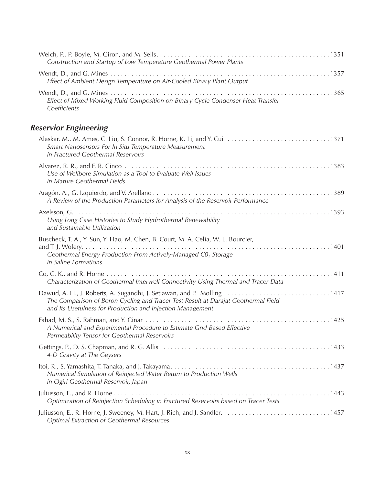| Construction and Startup of Low Temperature Geothermal Power Plants                                                                                                                                                         |
|-----------------------------------------------------------------------------------------------------------------------------------------------------------------------------------------------------------------------------|
| Effect of Ambient Design Temperature on Air-Cooled Binary Plant Output                                                                                                                                                      |
| Effect of Mixed Working Fluid Composition on Binary Cycle Condenser Heat Transfer<br>Coefficients                                                                                                                           |
| <b>Reservior Engineering</b>                                                                                                                                                                                                |
| Smart Nanosensors For In-Situ Temperature Measurement<br>in Fractured Geothermal Reservoirs                                                                                                                                 |
| Use of Wellbore Simulation as a Tool to Evaluate Well Issues<br>in Mature Geothermal Fields                                                                                                                                 |
| A Review of the Production Parameters for Analysis of the Reservoir Performance                                                                                                                                             |
| Using Long Case Histories to Study Hydrothermal Renewability<br>and Sustainable Utilization                                                                                                                                 |
| Buscheck, T. A., Y. Sun, Y. Hao, M. Chen, B. Court, M. A. Celia, W. L. Bourcier,<br>Geothermal Energy Production From Actively-Managed C0, Storage<br>in Saline Formations                                                  |
| Characterization of Geothermal Interwell Connectivity Using Thermal and Tracer Data                                                                                                                                         |
| Dawud, A. H., J. Roberts, A. Sugandhi, J. Setiawan, and P. Molling 1417<br>The Comparison of Boron Cycling and Tracer Test Result at Darajat Geothermal Field<br>and Its Usefulness for Production and Injection Management |
| A Numerical and Experimental Procedure to Estimate Grid Based Effective<br>Permeability Tensor for Geothermal Reservoirs                                                                                                    |
| 4-D Gravity at The Geysers                                                                                                                                                                                                  |
| Numerical Simulation of Reinjected Water Return to Production Wells<br>in Ogiri Geothermal Reservoir, Japan                                                                                                                 |
| Optimization of Reinjection Scheduling in Fractured Reservoirs based on Tracer Tests                                                                                                                                        |
| <b>Optimal Extraction of Geothermal Resources</b>                                                                                                                                                                           |
|                                                                                                                                                                                                                             |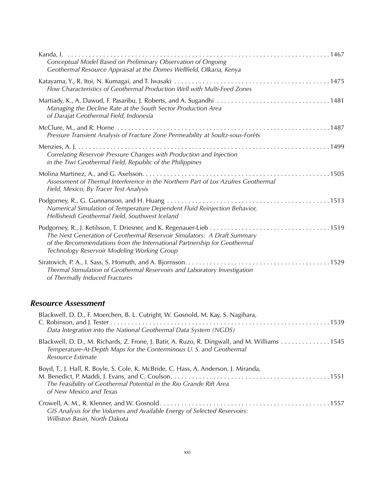| Conceptual Model Based on Preliminary Observation of Ongoing<br>Geothermal Resource Appraisal at the Domes Wellfield, Olkaria, Kenya                                                               |
|----------------------------------------------------------------------------------------------------------------------------------------------------------------------------------------------------|
| Flow Characteristics of Geothermal Production Well with Multi-Feed Zones                                                                                                                           |
| Managing the Decline Rate at the South Sector Production Area<br>of Darajat Geothermal Field, Indonesia                                                                                            |
| Pressure Transient Analysis of Fracture Zone Permeability at Soultz-sous-Forêts                                                                                                                    |
| Correlating Reservoir Pressure Changes with Production and Injection<br>in the Tiwi Geothermal Field, Republic of the Philippines                                                                  |
| Assessment of Thermal Interference in the Northern Part of Los Azufres Geothermal<br>Field, Mexico, By Tracer Test Analysis                                                                        |
| Numerical Simulation of Temperature Dependent Fluid Reinjection Behavior,<br>Hellisheidi Geothermal Field, Southwest Iceland                                                                       |
| The Next Generation of Geothermal Reservoir Simulators: A Draft Summary<br>of the Recommendations from the International Partnership for Geothermal<br>Technology Reservoir Modeling Working Group |
| Thermal Stimulation of Geothermal Reservoirs and Laboratory Investigation<br>of Thermally Induced Fractures                                                                                        |

#### *Resource Assessment*

| Blackwell, D. D., F. Moerchen, B. L. Cutright, W. Gosnold, M. Kay, S. Nagihara,<br>Data Integration into the National Geothermal Data System (NGDS)                                      |
|------------------------------------------------------------------------------------------------------------------------------------------------------------------------------------------|
| Blackwell, D. D., M. Richards, Z. Frone, J. Batir, A. Ruzo, R. Dingwall, and M. Williams 1545<br>Temperature-At-Depth Maps for the Conterminous U.S. and Geothermal<br>Resource Estimate |
| Boyd, T., J. Hall, R. Boyle, S. Cole, K. McBride, C. Hass, A. Anderson, J. Miranda,<br>The Feasibility of Geothermal Potential in the Rio Grande Rift Area<br>of New Mexico and Texas    |
| GIS Analysis for the Volumes and Available Energy of Selected Reservoirs:<br>Williston Basin, North Dakota                                                                               |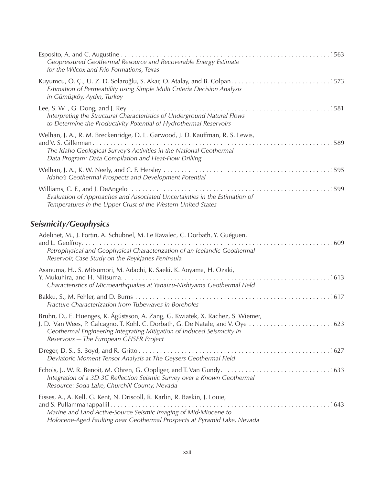|                                                                            | Geopressured Geothermal Resource and Recoverable Energy Estimate<br>for the Wilcox and Frio Formations, Texas                                                                                                                                                                            |
|----------------------------------------------------------------------------|------------------------------------------------------------------------------------------------------------------------------------------------------------------------------------------------------------------------------------------------------------------------------------------|
|                                                                            | Estimation of Permeability using Simple Multi Criteria Decision Analysis<br>in Gümüşköy, Aydın, Turkey                                                                                                                                                                                   |
|                                                                            | Interpreting the Structural Characteristics of Underground Natural Flows<br>to Determine the Productivity Potential of Hydrothermal Reservoirs                                                                                                                                           |
|                                                                            | Welhan, J. A., R. M. Breckenridge, D. L. Garwood, J. D. Kauffman, R. S. Lewis,<br>The Idaho Geological Survey's Activities in the National Geothermal<br>Data Program: Data Compilation and Heat-Flow Drilling                                                                           |
|                                                                            | Idaho's Geothermal Prospects and Development Potential                                                                                                                                                                                                                                   |
|                                                                            | Evaluation of Approaches and Associated Uncertainties in the Estimation of<br>Temperatures in the Upper Crust of the Western United States                                                                                                                                               |
|                                                                            | <b>Seismicity/Geophysics</b>                                                                                                                                                                                                                                                             |
|                                                                            | Adelinet, M., J. Fortin, A. Schubnel, M. Le Ravalec, C. Dorbath, Y. Guéguen,<br>Petrophysical and Geophysical Characterization of an Icelandic Geothermal<br>Reservoir, Case Study on the Reykjanes Peninsula                                                                            |
|                                                                            | Asanuma, H., S. Mitsumori, M. Adachi, K. Saeki, K. Aoyama, H. Ozaki,<br>Characteristics of Microearthquakes at Yanaizu-Nishiyama Geothermal Field                                                                                                                                        |
|                                                                            | Fracture Characterization from Tubewaves in Boreholes                                                                                                                                                                                                                                    |
|                                                                            | Bruhn, D., E. Huenges, K. Ágústsson, A. Zang, G. Kwiatek, X. Rachez, S. Wiemer,<br>J. D. Van Wees, P. Calcagno, T. Kohl, C. Dorbath, G. De Natale, and V. Oye 1623<br>Geothermal Engineering Integrating Mitigation of Induced Seismicity in<br>Reservoirs - The European GEISER Project |
|                                                                            | Deviatoric Moment Tensor Analysis at The Geysers Geothermal Field                                                                                                                                                                                                                        |
|                                                                            | Integration of a 3D-3C Reflection Seismic Survey over a Known Geothermal<br>Resource: Soda Lake, Churchill County, Nevada                                                                                                                                                                |
| Eisses, A., A. Kell, G. Kent, N. Driscoll, R. Karlin, R. Baskin, J. Louie, |                                                                                                                                                                                                                                                                                          |

*Holocene-Aged Faulting near Geothermal Prospects at Pyramid Lake, Nevada*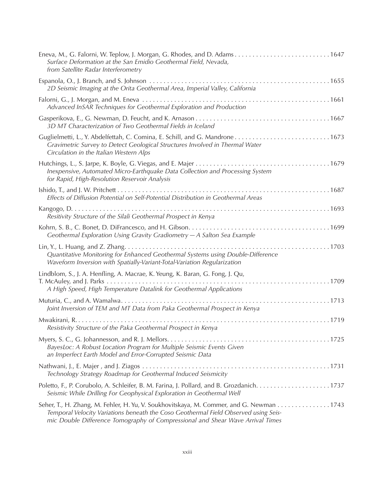| Eneva, M., G. Falorni, W. Teplow, J. Morgan, G. Rhodes, and D. Adams1647<br>Surface Deformation at the San Emidio Geothermal Field, Nevada,<br>from Satellite Radar Interferometry                                                                               |
|------------------------------------------------------------------------------------------------------------------------------------------------------------------------------------------------------------------------------------------------------------------|
| 2D Seismic Imaging at the Orita Geothermal Area, Imperial Valley, California                                                                                                                                                                                     |
| Advanced InSAR Techniques for Geothermal Exploration and Production                                                                                                                                                                                              |
| 3D MT Characterization of Two Geothermal Fields in Iceland                                                                                                                                                                                                       |
| Gravimetric Survey to Detect Geological Structures Involved in Thermal Water<br>Circulation in the Italian Western Alps                                                                                                                                          |
| Inexpensive, Automated Micro-Earthquake Data Collection and Processing System<br>for Rapid, High-Resolution Reservoir Analysis                                                                                                                                   |
| Effects of Diffusion Potential on Self-Potential Distribution in Geothermal Areas                                                                                                                                                                                |
| Resitivity Structure of the Silali Geothermal Prospect in Kenya                                                                                                                                                                                                  |
| Geothermal Exploration Using Gravity Gradiometry - A Salton Sea Example                                                                                                                                                                                          |
| Quantitative Monitoring for Enhanced Geothermal Systems using Double-Difference<br>Waveform Inversion with Spatially-Variant-Total-Variation Regularization                                                                                                      |
| Lindblom, S., J. A. Henfling, A. Macrae, K. Yeung, K. Baran, G. Fong, J. Qu,<br>A High Speed, High Temperature Datalink for Geothermal Applications                                                                                                              |
| Joint Inversion of TEM and MT Data from Paka Geothermal Prospect in Kenya                                                                                                                                                                                        |
| Resistivity Structure of the Paka Geothermal Prospect in Kenya                                                                                                                                                                                                   |
| BayesLoc: A Robust Location Program for Multiple Seismic Events Given<br>an Imperfect Earth Model and Error-Corrupted Seismic Data                                                                                                                               |
| Technology Strategy Roadmap for Geothermal Induced Seismicity                                                                                                                                                                                                    |
| Poletto, F., P. Corubolo, A. Schleifer, B. M. Farina, J. Pollard, and B. Grozdanich1737<br>Seismic While Drilling For Geophysical Exploration in Geothermal Well                                                                                                 |
| Seher, T., H. Zhang, M. Fehler, H. Yu, V. Soukhovitskaya, M. Commer, and G. Newman 1743<br>Temporal Velocity Variations beneath the Coso Geothermal Field Observed using Seis-<br>mic Double Difference Tomography of Compressional and Shear Wave Arrival Times |